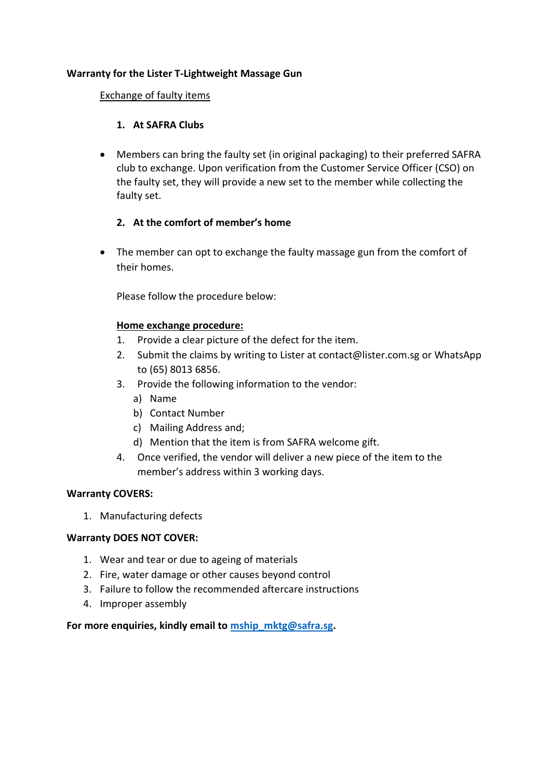# **Warranty for the Lister T-Lightweight Massage Gun**

#### Exchange of faulty items

# **1. At SAFRA Clubs**

 Members can bring the faulty set (in original packaging) to their preferred SAFRA club to exchange. Upon verification from the Customer Service Officer (CSO) on the faulty set, they will provide a new set to the member while collecting the faulty set.

# **2. At the comfort of member's home**

• The member can opt to exchange the faulty massage gun from the comfort of their homes.

Please follow the procedure below:

# **Home exchange procedure:**

- 1. Provide a clear picture of the defect for the item.
- 2. Submit the claims by writing to Lister at contact@lister.com.sg or WhatsApp to (65) 8013 6856.
- 3. Provide the following information to the vendor:
	- a) Name
	- b) Contact Number
	- c) Mailing Address and;
	- d) Mention that the item is from SAFRA welcome gift.
- 4. Once verified, the vendor will deliver a new piece of the item to the member's address within 3 working days.

#### **Warranty COVERS:**

1. Manufacturing defects

#### **Warranty DOES NOT COVER:**

- 1. Wear and tear or due to ageing of materials
- 2. Fire, water damage or other causes beyond control
- 3. Failure to follow the recommended aftercare instructions
- 4. Improper assembly

#### **For more enquiries, kindly email to [mship\\_mktg@safra.sg.](mailto:mship_mktg@safra.sg)**